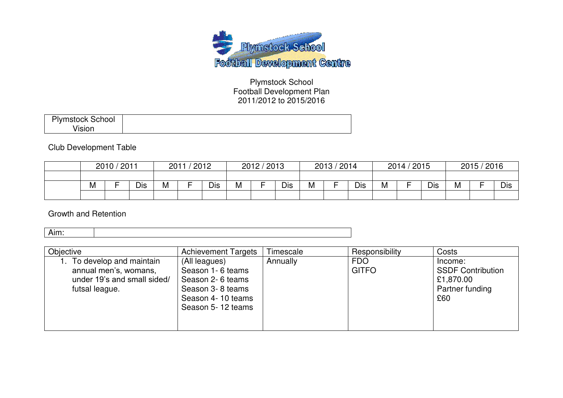

Plymstock School Football Development Plan 2011/2012 to 2015/2016

| <b>Plymstock School</b><br>$\mathbf{r}$ $\mathbf{r}$ |
|------------------------------------------------------|
|------------------------------------------------------|

#### Club Development Table

| 2010 / 2011<br>'2012<br>2011 |  | 2012 / 2013 |   | 2013 / 2014 |   | 2014 / 2015 |            | 2015 / 2016 |   |     |   |  |     |   |  |     |
|------------------------------|--|-------------|---|-------------|---|-------------|------------|-------------|---|-----|---|--|-----|---|--|-----|
|                              |  |             |   |             |   |             |            |             |   |     |   |  |     |   |  |     |
| M                            |  | Dis         | М | <b>Dis</b>  | M | -           | <b>Dis</b> | M           | - | Dis | M |  | Dis | M |  | Dis |
|                              |  |             |   |             |   |             |            |             |   |     |   |  |     |   |  |     |

Growth and Retention

| Objective                                                                                         | <b>Achievement Targets</b>                                                                                          | Timescale | Responsibility             | Costs                                                                      |
|---------------------------------------------------------------------------------------------------|---------------------------------------------------------------------------------------------------------------------|-----------|----------------------------|----------------------------------------------------------------------------|
| To develop and maintain<br>annual men's, womans,<br>under 19's and small sided/<br>futsal league. | (All leagues)<br>Season 1-6 teams<br>Season 2-6 teams<br>Season 3-8 teams<br>Season 4-10 teams<br>Season 5-12 teams | Annually  | <b>FDO</b><br><b>GITFO</b> | Income:<br><b>SSDF Contribution</b><br>£1,870.00<br>Partner funding<br>£60 |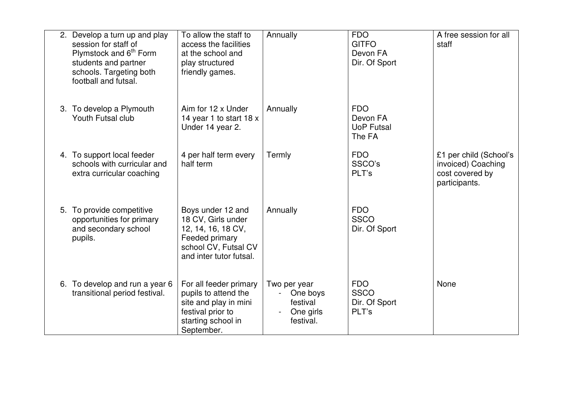| 2. Develop a turn up and play<br>session for staff of<br>Plymstock and 6 <sup>th</sup> Form<br>students and partner<br>schools. Targeting both<br>football and futsal. | To allow the staff to<br>access the facilities<br>at the school and<br>play structured<br>friendly games.                          | Annually                                                       | <b>FDO</b><br><b>GITFO</b><br>Devon FA<br>Dir. Of Sport | A free session for all<br>staff                                                  |
|------------------------------------------------------------------------------------------------------------------------------------------------------------------------|------------------------------------------------------------------------------------------------------------------------------------|----------------------------------------------------------------|---------------------------------------------------------|----------------------------------------------------------------------------------|
| 3. To develop a Plymouth<br>Youth Futsal club                                                                                                                          | Aim for 12 x Under<br>14 year 1 to start $18x$<br>Under 14 year 2.                                                                 | Annually                                                       | <b>FDO</b><br>Devon FA<br><b>UoP Futsal</b><br>The FA   |                                                                                  |
| 4. To support local feeder<br>schools with curricular and<br>extra curricular coaching                                                                                 | 4 per half term every<br>half term                                                                                                 | Termly                                                         | <b>FDO</b><br>SSCO's<br>PLT's                           | £1 per child (School's<br>invoiced) Coaching<br>cost covered by<br>participants. |
| 5. To provide competitive<br>opportunities for primary<br>and secondary school<br>pupils.                                                                              | Boys under 12 and<br>18 CV, Girls under<br>12, 14, 16, 18 CV,<br>Feeded primary<br>school CV, Futsal CV<br>and inter tutor futsal. | Annually                                                       | <b>FDO</b><br><b>SSCO</b><br>Dir. Of Sport              |                                                                                  |
| 6. To develop and run a year 6<br>transitional period festival.                                                                                                        | For all feeder primary<br>pupils to attend the<br>site and play in mini<br>festival prior to<br>starting school in<br>September.   | Two per year<br>One boys<br>festival<br>One girls<br>festival. | <b>FDO</b><br><b>SSCO</b><br>Dir. Of Sport<br>PLT's     | None                                                                             |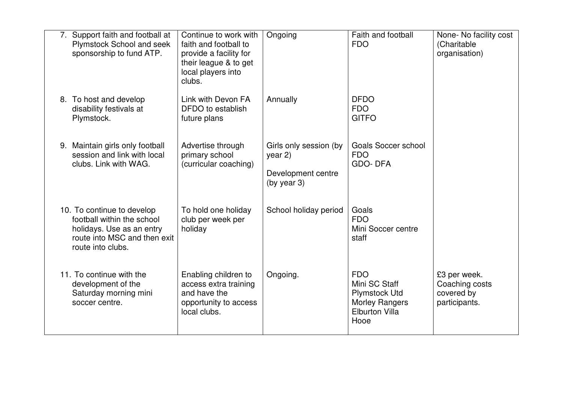| 7. Support faith and football at<br>Plymstock School and seek<br>sponsorship to fund ATP.                                                  | Continue to work with<br>faith and football to<br>provide a facility for<br>their league & to get<br>local players into<br>clubs. | Ongoing                                                                   | Faith and football<br><b>FDO</b>                                                                              | None- No facility cost<br>(Charitable<br>organisation)        |
|--------------------------------------------------------------------------------------------------------------------------------------------|-----------------------------------------------------------------------------------------------------------------------------------|---------------------------------------------------------------------------|---------------------------------------------------------------------------------------------------------------|---------------------------------------------------------------|
| 8. To host and develop<br>disability festivals at<br>Plymstock.                                                                            | Link with Devon FA<br>DFDO to establish<br>future plans                                                                           | Annually                                                                  | <b>DFDO</b><br><b>FDO</b><br><b>GITFO</b>                                                                     |                                                               |
| 9. Maintain girls only football<br>session and link with local<br>clubs. Link with WAG.                                                    | Advertise through<br>primary school<br>(curricular coaching)                                                                      | Girls only session (by<br>year 2)<br>Development centre<br>(by year $3$ ) | <b>Goals Soccer school</b><br><b>FDO</b><br><b>GDO-DFA</b>                                                    |                                                               |
| 10. To continue to develop<br>football within the school<br>holidays. Use as an entry<br>route into MSC and then exit<br>route into clubs. | To hold one holiday<br>club per week per<br>holiday                                                                               | School holiday period                                                     | Goals<br><b>FDO</b><br>Mini Soccer centre<br>staff                                                            |                                                               |
| 11. To continue with the<br>development of the<br>Saturday morning mini<br>soccer centre.                                                  | Enabling children to<br>access extra training<br>and have the<br>opportunity to access<br>local clubs.                            | Ongoing.                                                                  | <b>FDO</b><br>Mini SC Staff<br><b>Plymstock Utd</b><br><b>Morley Rangers</b><br><b>Elburton Villa</b><br>Hooe | £3 per week.<br>Coaching costs<br>covered by<br>participants. |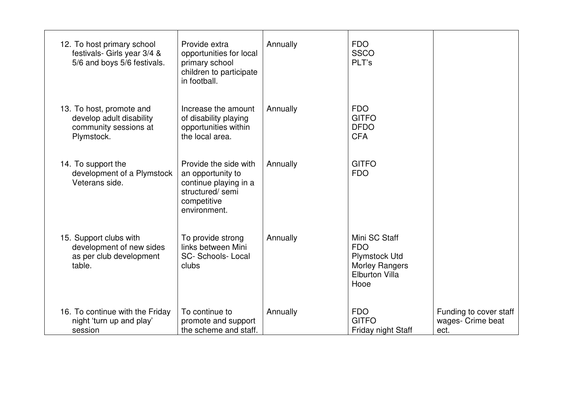| 12. To host primary school<br>festivals- Girls year 3/4 &<br>5/6 and boys 5/6 festivals.    | Provide extra<br>opportunities for local<br>primary school<br>children to participate<br>in football.                 | Annually | <b>FDO</b><br><b>SSCO</b><br>PLT's                                                                            |                                                     |
|---------------------------------------------------------------------------------------------|-----------------------------------------------------------------------------------------------------------------------|----------|---------------------------------------------------------------------------------------------------------------|-----------------------------------------------------|
| 13. To host, promote and<br>develop adult disability<br>community sessions at<br>Plymstock. | Increase the amount<br>of disability playing<br>opportunities within<br>the local area.                               | Annually | <b>FDO</b><br><b>GITFO</b><br><b>DFDO</b><br><b>CFA</b>                                                       |                                                     |
| 14. To support the<br>development of a Plymstock<br>Veterans side.                          | Provide the side with<br>an opportunity to<br>continue playing in a<br>structured/semi<br>competitive<br>environment. | Annually | <b>GITFO</b><br><b>FDO</b>                                                                                    |                                                     |
| 15. Support clubs with<br>development of new sides<br>as per club development<br>table.     | To provide strong<br>links between Mini<br><b>SC- Schools-Local</b><br>clubs                                          | Annually | Mini SC Staff<br><b>FDO</b><br><b>Plymstock Utd</b><br><b>Morley Rangers</b><br><b>Elburton Villa</b><br>Hooe |                                                     |
| 16. To continue with the Friday<br>night 'turn up and play'<br>session                      | To continue to<br>promote and support<br>the scheme and staff.                                                        | Annually | <b>FDO</b><br><b>GITFO</b><br>Friday night Staff                                                              | Funding to cover staff<br>wages- Crime beat<br>ect. |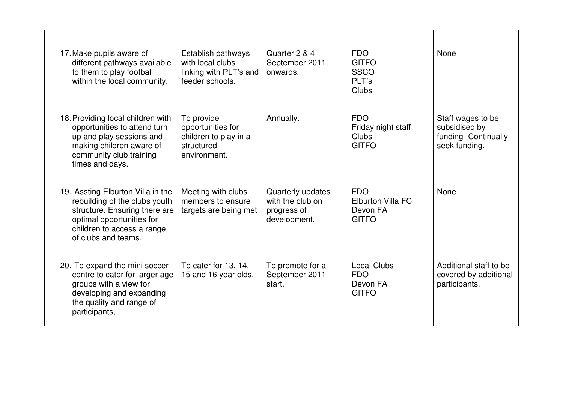| 17. Make pupils aware of<br>different pathways available<br>to them to play football<br>within the local community.                                                                   | Establish pathways<br>with local clubs<br>linking with PLT's and<br>feeder schools.    | Quarter 2 & 4<br>September 2011<br>onwards.                          | <b>FDO</b><br><b>GITFO</b><br><b>SSCO</b><br>PLT's<br>Clubs        | None                                                                        |
|---------------------------------------------------------------------------------------------------------------------------------------------------------------------------------------|----------------------------------------------------------------------------------------|----------------------------------------------------------------------|--------------------------------------------------------------------|-----------------------------------------------------------------------------|
| 18. Providing local children with<br>opportunities to attend turn<br>up and play sessions and<br>making children aware of<br>community club training<br>times and days.               | To provide<br>opportunities for<br>children to play in a<br>structured<br>environment. | Annually.                                                            | <b>FDO</b><br>Friday night staff<br><b>Clubs</b><br><b>GITFO</b>   | Staff wages to be<br>subsidised by<br>funding- Continually<br>seek funding. |
| 19. Assting Elburton Villa in the<br>rebuilding of the clubs youth<br>structure. Ensuring there are<br>optimal opportunities for<br>children to access a range<br>of clubs and teams. | Meeting with clubs<br>members to ensure<br>targets are being met                       | Quarterly updates<br>with the club on<br>progress of<br>development. | <b>FDO</b><br><b>Elburton Villa FC</b><br>Devon FA<br><b>GITFO</b> | None                                                                        |
| 20. To expand the mini soccer<br>centre to cater for larger age<br>groups with a view for<br>developing and expanding<br>the quality and range of<br>participants,                    | To cater for 13, 14,<br>15 and 16 year olds.                                           | To promote for a<br>September 2011<br>start.                         | <b>Local Clubs</b><br><b>FDO</b><br>Devon FA<br><b>GITFO</b>       | Additional staff to be<br>covered by additional<br>participants.            |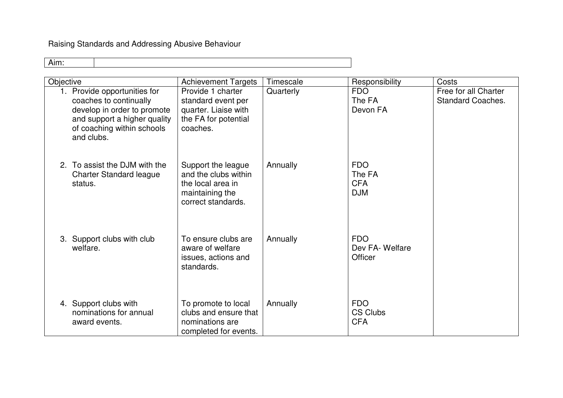Raising Standards and Addressing Abusive Behaviour

| Objective                                                                                                                                                         | <b>Achievement Targets</b>                                                                               | Timescale | Responsibility                                   | Costs                                            |
|-------------------------------------------------------------------------------------------------------------------------------------------------------------------|----------------------------------------------------------------------------------------------------------|-----------|--------------------------------------------------|--------------------------------------------------|
| 1. Provide opportunities for<br>coaches to continually<br>develop in order to promote<br>and support a higher quality<br>of coaching within schools<br>and clubs. | Provide 1 charter<br>standard event per<br>quarter. Liaise with<br>the FA for potential<br>coaches.      | Quarterly | <b>FDO</b><br>The FA<br>Devon FA                 | Free for all Charter<br><b>Standard Coaches.</b> |
| 2. To assist the DJM with the<br><b>Charter Standard league</b><br>status.                                                                                        | Support the league<br>and the clubs within<br>the local area in<br>maintaining the<br>correct standards. | Annually  | <b>FDO</b><br>The FA<br><b>CFA</b><br><b>DJM</b> |                                                  |
| 3. Support clubs with club<br>welfare.                                                                                                                            | To ensure clubs are<br>aware of welfare<br>issues, actions and<br>standards.                             | Annually  | <b>FDO</b><br>Dev FA-Welfare<br>Officer          |                                                  |
| 4. Support clubs with<br>nominations for annual<br>award events.                                                                                                  | To promote to local<br>clubs and ensure that<br>nominations are<br>completed for events.                 | Annually  | <b>FDO</b><br><b>CS Clubs</b><br><b>CFA</b>      |                                                  |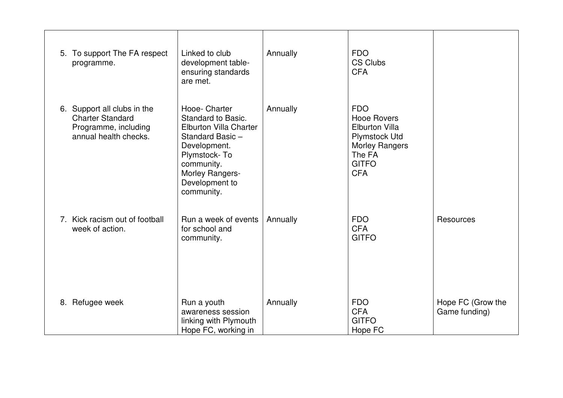| 5. To support The FA respect<br>programme.                                                              | Linked to club<br>development table-<br>ensuring standards<br>are met.                                                                                                             | Annually | <b>FDO</b><br><b>CS Clubs</b><br><b>CFA</b>                                                                                                        |                                    |
|---------------------------------------------------------------------------------------------------------|------------------------------------------------------------------------------------------------------------------------------------------------------------------------------------|----------|----------------------------------------------------------------------------------------------------------------------------------------------------|------------------------------------|
| 6. Support all clubs in the<br><b>Charter Standard</b><br>Programme, including<br>annual health checks. | Hooe- Charter<br>Standard to Basic.<br>Elburton Villa Charter<br>Standard Basic -<br>Development.<br>Plymstock-To<br>community.<br>Morley Rangers-<br>Development to<br>community. | Annually | <b>FDO</b><br><b>Hooe Rovers</b><br><b>Elburton Villa</b><br><b>Plymstock Utd</b><br><b>Morley Rangers</b><br>The FA<br><b>GITFO</b><br><b>CFA</b> |                                    |
| 7. Kick racism out of football<br>week of action.                                                       | Run a week of events<br>for school and<br>community.                                                                                                                               | Annually | <b>FDO</b><br><b>CFA</b><br><b>GITFO</b>                                                                                                           | <b>Resources</b>                   |
| 8. Refugee week                                                                                         | Run a youth<br>awareness session<br>linking with Plymouth<br>Hope FC, working in                                                                                                   | Annually | <b>FDO</b><br><b>CFA</b><br><b>GITFO</b><br>Hope FC                                                                                                | Hope FC (Grow the<br>Game funding) |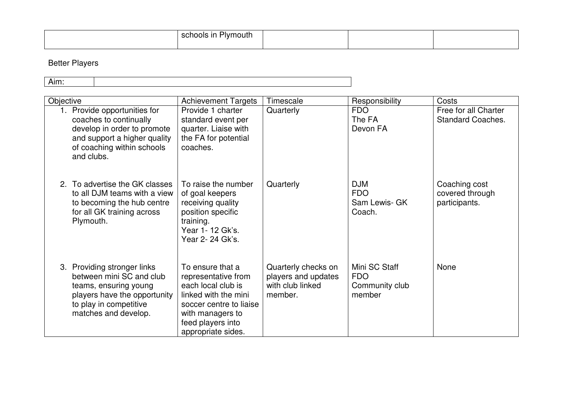| _<br>-<br>cop<br>. .<br>noois<br>$\cdots$<br>'ivmoutr<br>- Ir<br>อเม |  |  |
|----------------------------------------------------------------------|--|--|
|                                                                      |  |  |

# Better Players

| .<br>AILLL. |  |
|-------------|--|

| Objective |                                                                                                                                                                    | <b>Achievement Targets</b>                                                                                                                                                      | Timescale                                                                 | Responsibility                                          | Costs                                             |
|-----------|--------------------------------------------------------------------------------------------------------------------------------------------------------------------|---------------------------------------------------------------------------------------------------------------------------------------------------------------------------------|---------------------------------------------------------------------------|---------------------------------------------------------|---------------------------------------------------|
|           | 1. Provide opportunities for<br>coaches to continually<br>develop in order to promote<br>and support a higher quality<br>of coaching within schools<br>and clubs.  | Provide 1 charter<br>standard event per<br>quarter. Liaise with<br>the FA for potential<br>coaches.                                                                             | Quarterly                                                                 | <b>FDO</b><br>The FA<br>Devon FA                        | Free for all Charter<br><b>Standard Coaches.</b>  |
|           | 2. To advertise the GK classes<br>to all DJM teams with a view<br>to becoming the hub centre<br>for all GK training across<br>Plymouth.                            | To raise the number<br>of goal keepers<br>receiving quality<br>position specific<br>training.<br>Year 1-12 Gk's.<br>Year 2-24 Gk's.                                             | Quarterly                                                                 | <b>DJM</b><br><b>FDO</b><br>Sam Lewis- GK<br>Coach.     | Coaching cost<br>covered through<br>participants. |
|           | 3. Providing stronger links<br>between mini SC and club<br>teams, ensuring young<br>players have the opportunity<br>to play in competitive<br>matches and develop. | To ensure that a<br>representative from<br>each local club is<br>linked with the mini<br>soccer centre to liaise<br>with managers to<br>feed players into<br>appropriate sides. | Quarterly checks on<br>players and updates<br>with club linked<br>member. | Mini SC Staff<br><b>FDO</b><br>Community club<br>member | None                                              |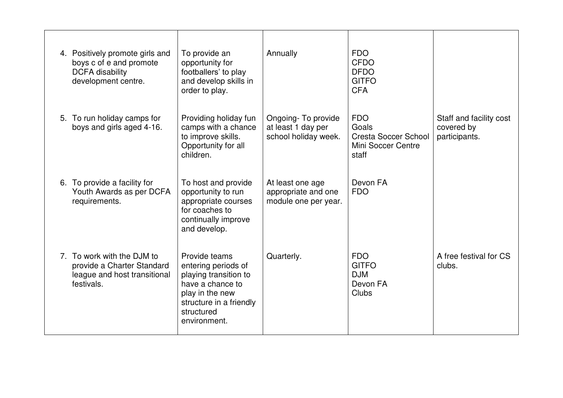| 4. Positively promote girls and<br>boys c of e and promote<br><b>DCFA</b> disability<br>development centre. | To provide an<br>opportunity for<br>footballers' to play<br>and develop skills in<br>order to play.                                                           | Annually                                                         | <b>FDO</b><br><b>CFDO</b><br><b>DFDO</b><br><b>GITFO</b><br><b>CFA</b>            |                                                        |
|-------------------------------------------------------------------------------------------------------------|---------------------------------------------------------------------------------------------------------------------------------------------------------------|------------------------------------------------------------------|-----------------------------------------------------------------------------------|--------------------------------------------------------|
| 5. To run holiday camps for<br>boys and girls aged 4-16.                                                    | Providing holiday fun<br>camps with a chance<br>to improve skills.<br>Opportunity for all<br>children.                                                        | Ongoing-To provide<br>at least 1 day per<br>school holiday week. | <b>FDO</b><br>Goals<br><b>Cresta Soccer School</b><br>Mini Soccer Centre<br>staff | Staff and facility cost<br>covered by<br>participants. |
| 6. To provide a facility for<br>Youth Awards as per DCFA<br>requirements.                                   | To host and provide<br>opportunity to run<br>appropriate courses<br>for coaches to<br>continually improve<br>and develop.                                     | At least one age<br>appropriate and one<br>module one per year.  | Devon FA<br><b>FDO</b>                                                            |                                                        |
| 7. To work with the DJM to<br>provide a Charter Standard<br>league and host transitional<br>festivals.      | Provide teams<br>entering periods of<br>playing transition to<br>have a chance to<br>play in the new<br>structure in a friendly<br>structured<br>environment. | Quarterly.                                                       | <b>FDO</b><br><b>GITFO</b><br><b>DJM</b><br>Devon FA<br>Clubs                     | A free festival for CS<br>clubs.                       |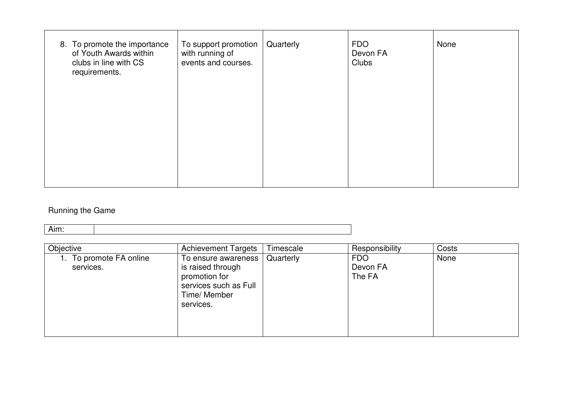| 8. To promote the importance<br>of Youth Awards within<br>clubs in line with CS<br>requirements. | To support promotion<br>with running of<br>events and courses. | Quarterly | <b>FDO</b><br>Devon FA<br><b>Clubs</b> | None |
|--------------------------------------------------------------------------------------------------|----------------------------------------------------------------|-----------|----------------------------------------|------|
|                                                                                                  |                                                                |           |                                        |      |

## Running the Game

| Objective                            | <b>Achievement Targets</b>                                                                                      | Timescale | Responsibility                   | Costs |
|--------------------------------------|-----------------------------------------------------------------------------------------------------------------|-----------|----------------------------------|-------|
| 1. To promote FA online<br>services. | To ensure awareness<br>is raised through<br>promotion for<br>services such as Full<br>Time/ Member<br>services. | Quarterly | <b>FDO</b><br>Devon FA<br>The FA | None  |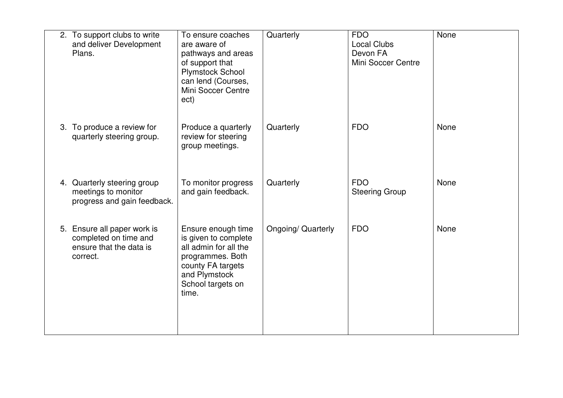| 2. To support clubs to write<br>and deliver Development<br>Plans.                           | To ensure coaches<br>are aware of<br>pathways and areas<br>of support that<br>Plymstock School<br>can lend (Courses,<br>Mini Soccer Centre<br>ect)          | Quarterly                 | <b>FDO</b><br><b>Local Clubs</b><br>Devon FA<br>Mini Soccer Centre | None |
|---------------------------------------------------------------------------------------------|-------------------------------------------------------------------------------------------------------------------------------------------------------------|---------------------------|--------------------------------------------------------------------|------|
| 3. To produce a review for<br>quarterly steering group.                                     | Produce a quarterly<br>review for steering<br>group meetings.                                                                                               | Quarterly                 | <b>FDO</b>                                                         | None |
| 4. Quarterly steering group<br>meetings to monitor<br>progress and gain feedback.           | To monitor progress<br>and gain feedback.                                                                                                                   | Quarterly                 | <b>FDO</b><br><b>Steering Group</b>                                | None |
| 5. Ensure all paper work is<br>completed on time and<br>ensure that the data is<br>correct. | Ensure enough time<br>is given to complete<br>all admin for all the<br>programmes. Both<br>county FA targets<br>and Plymstock<br>School targets on<br>time. | <b>Ongoing/ Quarterly</b> | <b>FDO</b>                                                         | None |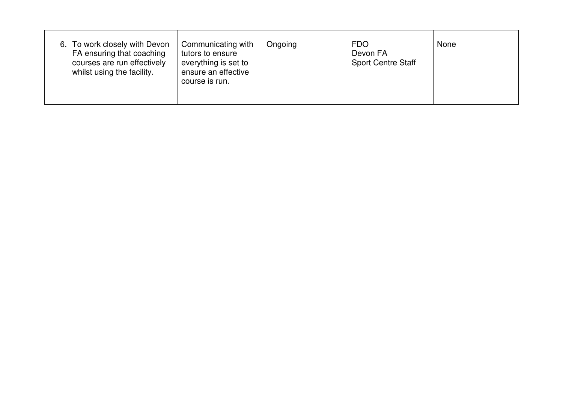| 6. To work closely with Devon<br>FA ensuring that coaching<br>courses are run effectively<br>whilst using the facility. | Communicating with<br>tutors to ensure<br>everything is set to<br>ensure an effective<br>course is run. | Ongoing | FDO.<br>Devon FA<br><b>Sport Centre Staff</b> | None |
|-------------------------------------------------------------------------------------------------------------------------|---------------------------------------------------------------------------------------------------------|---------|-----------------------------------------------|------|
|-------------------------------------------------------------------------------------------------------------------------|---------------------------------------------------------------------------------------------------------|---------|-----------------------------------------------|------|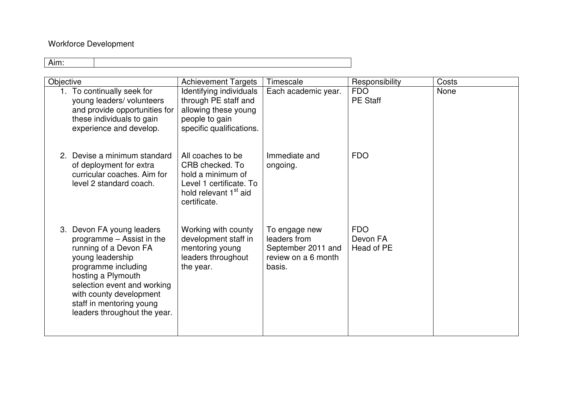## Workforce Development

| Objective |                                                                                                                                                                                                                                                                        | <b>Achievement Targets</b>                                                                                                                | Timescale                                                                            | Responsibility                       | Costs |
|-----------|------------------------------------------------------------------------------------------------------------------------------------------------------------------------------------------------------------------------------------------------------------------------|-------------------------------------------------------------------------------------------------------------------------------------------|--------------------------------------------------------------------------------------|--------------------------------------|-------|
|           | 1. To continually seek for<br>young leaders/ volunteers<br>and provide opportunities for<br>these individuals to gain<br>experience and develop.                                                                                                                       | Identifying individuals<br>through PE staff and<br>allowing these young<br>people to gain<br>specific qualifications.                     | Each academic year.                                                                  | <b>FDO</b><br><b>PE Staff</b>        | None  |
|           | 2. Devise a minimum standard<br>of deployment for extra<br>curricular coaches. Aim for<br>level 2 standard coach.                                                                                                                                                      | All coaches to be<br>CRB checked. To<br>hold a minimum of<br>Level 1 certificate. To<br>hold relevant 1 <sup>st</sup> aid<br>certificate. | Immediate and<br>ongoing.                                                            | <b>FDO</b>                           |       |
|           | 3. Devon FA young leaders<br>programme - Assist in the<br>running of a Devon FA<br>young leadership<br>programme including<br>hosting a Plymouth<br>selection event and working<br>with county development<br>staff in mentoring young<br>leaders throughout the year. | Working with county<br>development staff in<br>mentoring young<br>leaders throughout<br>the year.                                         | To engage new<br>leaders from<br>September 2011 and<br>review on a 6 month<br>basis. | <b>FDO</b><br>Devon FA<br>Head of PE |       |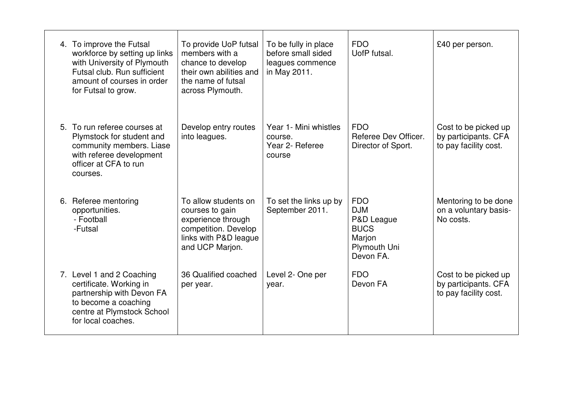| 4. To improve the Futsal<br>workforce by setting up links<br>with University of Plymouth<br>Futsal club. Run sufficient<br>amount of courses in order<br>for Futsal to grow. | To provide UoP futsal<br>members with a<br>chance to develop<br>their own abilities and<br>the name of futsal<br>across Plymouth. | To be fully in place<br>before small sided<br>leagues commence<br>in May 2011. | <b>FDO</b><br>UofP futsal.                                                                   | £40 per person.                                                       |
|------------------------------------------------------------------------------------------------------------------------------------------------------------------------------|-----------------------------------------------------------------------------------------------------------------------------------|--------------------------------------------------------------------------------|----------------------------------------------------------------------------------------------|-----------------------------------------------------------------------|
| 5. To run referee courses at<br>Plymstock for student and<br>community members. Liase<br>with referee development<br>officer at CFA to run<br>courses.                       | Develop entry routes<br>into leagues.                                                                                             | Year 1- Mini whistles<br>course.<br>Year 2- Referee<br>course                  | <b>FDO</b><br>Referee Dev Officer.<br>Director of Sport.                                     | Cost to be picked up<br>by participants. CFA<br>to pay facility cost. |
| 6. Referee mentoring<br>opportunities.<br>- Football<br>-Futsal                                                                                                              | To allow students on<br>courses to gain<br>experience through<br>competition. Develop<br>links with P&D league<br>and UCP Marjon. | To set the links up by<br>September 2011.                                      | <b>FDO</b><br><b>DJM</b><br>P&D League<br><b>BUCS</b><br>Marjon<br>Plymouth Uni<br>Devon FA. | Mentoring to be done<br>on a voluntary basis-<br>No costs.            |
| 7. Level 1 and 2 Coaching<br>certificate. Working in<br>partnership with Devon FA<br>to become a coaching<br>centre at Plymstock School<br>for local coaches.                | 36 Qualified coached<br>per year.                                                                                                 | Level 2- One per<br>year.                                                      | <b>FDO</b><br>Devon FA                                                                       | Cost to be picked up<br>by participants. CFA<br>to pay facility cost. |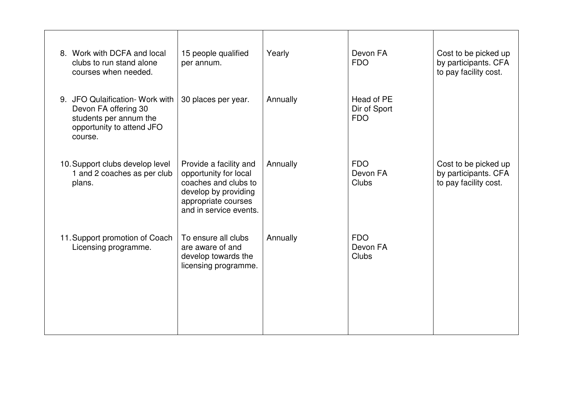| 8. Work with DCFA and local<br>clubs to run stand alone<br>courses when needed.                                           | 15 people qualified<br>per annum.                                                                                                                | Yearly   | Devon FA<br><b>FDO</b>                   | Cost to be picked up<br>by participants. CFA<br>to pay facility cost. |
|---------------------------------------------------------------------------------------------------------------------------|--------------------------------------------------------------------------------------------------------------------------------------------------|----------|------------------------------------------|-----------------------------------------------------------------------|
| 9. JFO Qulaification- Work with<br>Devon FA offering 30<br>students per annum the<br>opportunity to attend JFO<br>course. | 30 places per year.                                                                                                                              | Annually | Head of PE<br>Dir of Sport<br><b>FDO</b> |                                                                       |
| 10. Support clubs develop level<br>1 and 2 coaches as per club<br>plans.                                                  | Provide a facility and<br>opportunity for local<br>coaches and clubs to<br>develop by providing<br>appropriate courses<br>and in service events. | Annually | <b>FDO</b><br>Devon FA<br>Clubs          | Cost to be picked up<br>by participants. CFA<br>to pay facility cost. |
| 11. Support promotion of Coach<br>Licensing programme.                                                                    | To ensure all clubs<br>are aware of and<br>develop towards the<br>licensing programme.                                                           | Annually | <b>FDO</b><br>Devon FA<br><b>Clubs</b>   |                                                                       |
|                                                                                                                           |                                                                                                                                                  |          |                                          |                                                                       |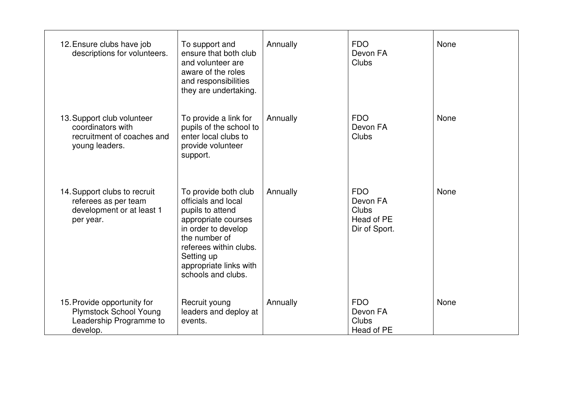| 12. Ensure clubs have job<br>descriptions for volunteers.                                           | To support and<br>ensure that both club<br>and volunteer are<br>aware of the roles<br>and responsibilities<br>they are undertaking.                                                                                    | Annually | <b>FDO</b><br>Devon FA<br>Clubs                                | None |
|-----------------------------------------------------------------------------------------------------|------------------------------------------------------------------------------------------------------------------------------------------------------------------------------------------------------------------------|----------|----------------------------------------------------------------|------|
| 13. Support club volunteer<br>coordinators with<br>recruitment of coaches and<br>young leaders.     | To provide a link for<br>pupils of the school to<br>enter local clubs to<br>provide volunteer<br>support.                                                                                                              | Annually | <b>FDO</b><br>Devon FA<br>Clubs                                | None |
| 14. Support clubs to recruit<br>referees as per team<br>development or at least 1<br>per year.      | To provide both club<br>officials and local<br>pupils to attend<br>appropriate courses<br>in order to develop<br>the number of<br>referees within clubs.<br>Setting up<br>appropriate links with<br>schools and clubs. | Annually | <b>FDO</b><br>Devon FA<br>Clubs<br>Head of PE<br>Dir of Sport. | None |
| 15. Provide opportunity for<br><b>Plymstock School Young</b><br>Leadership Programme to<br>develop. | Recruit young<br>leaders and deploy at<br>events.                                                                                                                                                                      | Annually | <b>FDO</b><br>Devon FA<br>Clubs<br>Head of PE                  | None |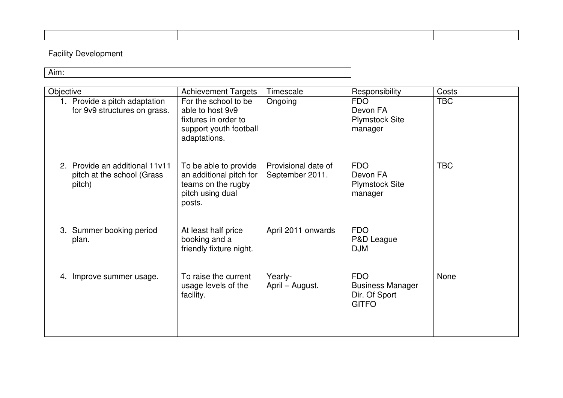## Facility Development

| Objective |                                                                        | <b>Achievement Targets</b>                                                                                 | Timescale                              | Responsibility                                                         | Costs      |  |  |
|-----------|------------------------------------------------------------------------|------------------------------------------------------------------------------------------------------------|----------------------------------------|------------------------------------------------------------------------|------------|--|--|
|           | 1. Provide a pitch adaptation<br>for 9v9 structures on grass.          | For the school to be<br>able to host 9v9<br>fixtures in order to<br>support youth football<br>adaptations. | Ongoing                                | <b>FDO</b><br>Devon FA<br><b>Plymstock Site</b><br>manager             | <b>TBC</b> |  |  |
|           | 2. Provide an additional 11v11<br>pitch at the school (Grass<br>pitch) | To be able to provide<br>an additional pitch for<br>teams on the rugby<br>pitch using dual<br>posts.       | Provisional date of<br>September 2011. | <b>FDO</b><br>Devon FA<br><b>Plymstock Site</b><br>manager             | <b>TBC</b> |  |  |
|           | 3. Summer booking period<br>plan.                                      | At least half price<br>booking and a<br>friendly fixture night.                                            | April 2011 onwards                     | <b>FDO</b><br>P&D League<br><b>DJM</b>                                 |            |  |  |
|           | 4. Improve summer usage.                                               | To raise the current<br>usage levels of the<br>facility.                                                   | Yearly-<br>April – August.             | <b>FDO</b><br><b>Business Manager</b><br>Dir. Of Sport<br><b>GITFO</b> | None       |  |  |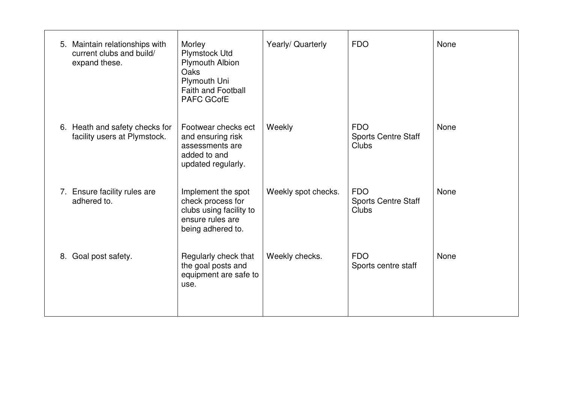|    | 5. Maintain relationships with<br>current clubs and build/<br>expand these. | Morley<br>Plymstock Utd<br><b>Plymouth Albion</b><br>Oaks<br>Plymouth Uni<br><b>Faith and Football</b><br><b>PAFC GCofE</b> | Yearly/ Quarterly   | <b>FDO</b>                                        | None        |
|----|-----------------------------------------------------------------------------|-----------------------------------------------------------------------------------------------------------------------------|---------------------|---------------------------------------------------|-------------|
|    | 6. Heath and safety checks for<br>facility users at Plymstock.              | Footwear checks ect<br>and ensuring risk<br>assessments are<br>added to and<br>updated regularly.                           | Weekly              | <b>FDO</b><br><b>Sports Centre Staff</b><br>Clubs | None        |
|    | 7. Ensure facility rules are<br>adhered to.                                 | Implement the spot<br>check process for<br>clubs using facility to<br>ensure rules are<br>being adhered to.                 | Weekly spot checks. | <b>FDO</b><br><b>Sports Centre Staff</b><br>Clubs | <b>None</b> |
| 8. | Goal post safety.                                                           | Regularly check that<br>the goal posts and<br>equipment are safe to<br>use.                                                 | Weekly checks.      | <b>FDO</b><br>Sports centre staff                 | None        |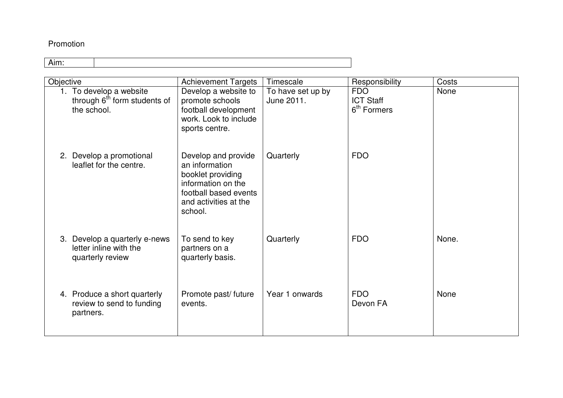#### Promotion

| Objective |                                                                                    | <b>Achievement Targets</b>                                                                                                                    | Timescale                       | Responsibility                                            | Costs |
|-----------|------------------------------------------------------------------------------------|-----------------------------------------------------------------------------------------------------------------------------------------------|---------------------------------|-----------------------------------------------------------|-------|
|           | 1. To develop a website<br>through 6 <sup>th</sup> form students of<br>the school. | Develop a website to<br>promote schools<br>football development<br>work. Look to include<br>sports centre.                                    | To have set up by<br>June 2011. | <b>FDO</b><br><b>ICT Staff</b><br>6 <sup>th</sup> Formers | None  |
|           | 2. Develop a promotional<br>leaflet for the centre.                                | Develop and provide<br>an information<br>booklet providing<br>information on the<br>football based events<br>and activities at the<br>school. | Quarterly                       | <b>FDO</b>                                                |       |
|           | 3. Develop a quarterly e-news<br>letter inline with the<br>quarterly review        | To send to key<br>partners on a<br>quarterly basis.                                                                                           | Quarterly                       | <b>FDO</b>                                                | None. |
|           | 4. Produce a short quarterly<br>review to send to funding<br>partners.             | Promote past/ future<br>events.                                                                                                               | Year 1 onwards                  | <b>FDO</b><br>Devon FA                                    | None  |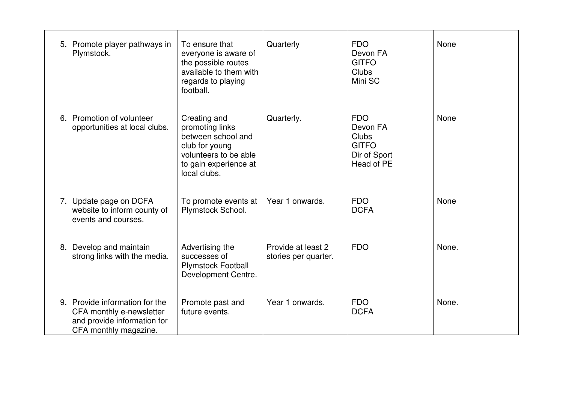| 5. Promote player pathways in<br>Plymstock.                                                                        | To ensure that<br>everyone is aware of<br>the possible routes<br>available to them with<br>regards to playing<br>football.                | Quarterly                                  | <b>FDO</b><br>Devon FA<br><b>GITFO</b><br><b>Clubs</b><br>Mini SC             | None  |
|--------------------------------------------------------------------------------------------------------------------|-------------------------------------------------------------------------------------------------------------------------------------------|--------------------------------------------|-------------------------------------------------------------------------------|-------|
| 6. Promotion of volunteer<br>opportunities at local clubs.                                                         | Creating and<br>promoting links<br>between school and<br>club for young<br>volunteers to be able<br>to gain experience at<br>local clubs. | Quarterly.                                 | <b>FDO</b><br>Devon FA<br>Clubs<br><b>GITFO</b><br>Dir of Sport<br>Head of PE | None  |
| 7. Update page on DCFA<br>website to inform county of<br>events and courses.                                       | To promote events at<br>Plymstock School.                                                                                                 | Year 1 onwards.                            | <b>FDO</b><br><b>DCFA</b>                                                     | None  |
| 8. Develop and maintain<br>strong links with the media.                                                            | Advertising the<br>successes of<br><b>Plymstock Football</b><br>Development Centre.                                                       | Provide at least 2<br>stories per quarter. | <b>FDO</b>                                                                    | None. |
| 9. Provide information for the<br>CFA monthly e-newsletter<br>and provide information for<br>CFA monthly magazine. | Promote past and<br>future events.                                                                                                        | Year 1 onwards.                            | <b>FDO</b><br><b>DCFA</b>                                                     | None. |